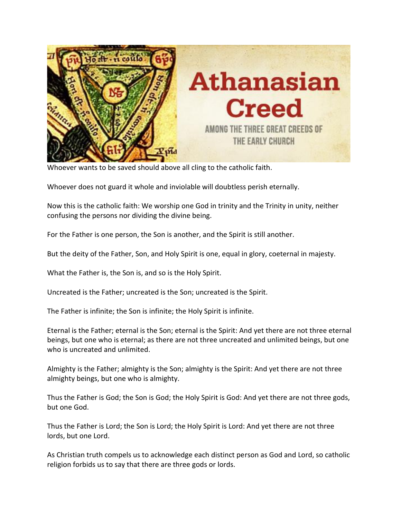

Whoever wants to be saved should above all cling to the catholic faith.

Whoever does not guard it whole and inviolable will doubtless perish eternally.

Now this is the catholic faith: We worship one God in trinity and the Trinity in unity, neither confusing the persons nor dividing the divine being.

For the Father is one person, the Son is another, and the Spirit is still another.

But the deity of the Father, Son, and Holy Spirit is one, equal in glory, coeternal in majesty.

What the Father is, the Son is, and so is the Holy Spirit.

Uncreated is the Father; uncreated is the Son; uncreated is the Spirit.

The Father is infinite; the Son is infinite; the Holy Spirit is infinite.

Eternal is the Father; eternal is the Son; eternal is the Spirit: And yet there are not three eternal beings, but one who is eternal; as there are not three uncreated and unlimited beings, but one who is uncreated and unlimited.

Almighty is the Father; almighty is the Son; almighty is the Spirit: And yet there are not three almighty beings, but one who is almighty.

Thus the Father is God; the Son is God; the Holy Spirit is God: And yet there are not three gods, but one God.

Thus the Father is Lord; the Son is Lord; the Holy Spirit is Lord: And yet there are not three lords, but one Lord.

As Christian truth compels us to acknowledge each distinct person as God and Lord, so catholic religion forbids us to say that there are three gods or lords.